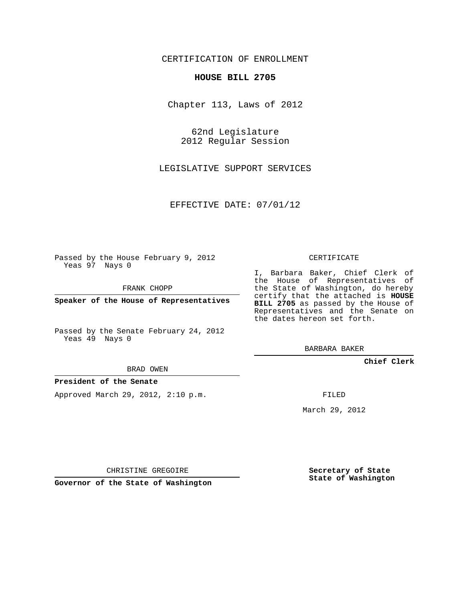### CERTIFICATION OF ENROLLMENT

#### **HOUSE BILL 2705**

Chapter 113, Laws of 2012

62nd Legislature 2012 Regular Session

LEGISLATIVE SUPPORT SERVICES

EFFECTIVE DATE: 07/01/12

Passed by the House February 9, 2012 Yeas 97 Nays 0

FRANK CHOPP

**Speaker of the House of Representatives**

Passed by the Senate February 24, 2012 Yeas 49 Nays 0

BRAD OWEN

#### **President of the Senate**

Approved March 29, 2012, 2:10 p.m.

CERTIFICATE

I, Barbara Baker, Chief Clerk of the House of Representatives of the State of Washington, do hereby certify that the attached is **HOUSE BILL 2705** as passed by the House of Representatives and the Senate on the dates hereon set forth.

BARBARA BAKER

**Chief Clerk**

FILED

March 29, 2012

CHRISTINE GREGOIRE

**Governor of the State of Washington**

**Secretary of State State of Washington**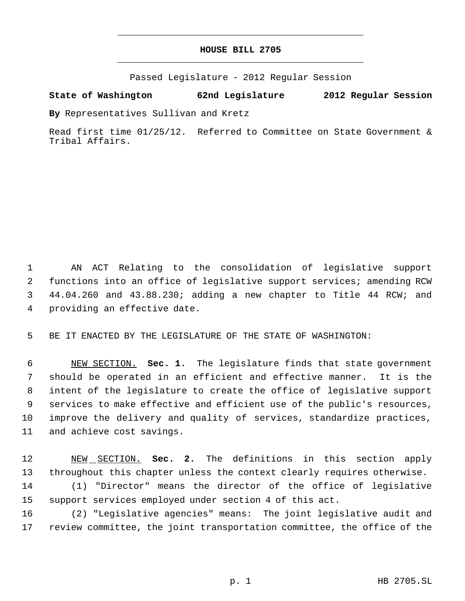# **HOUSE BILL 2705** \_\_\_\_\_\_\_\_\_\_\_\_\_\_\_\_\_\_\_\_\_\_\_\_\_\_\_\_\_\_\_\_\_\_\_\_\_\_\_\_\_\_\_\_\_

\_\_\_\_\_\_\_\_\_\_\_\_\_\_\_\_\_\_\_\_\_\_\_\_\_\_\_\_\_\_\_\_\_\_\_\_\_\_\_\_\_\_\_\_\_

Passed Legislature - 2012 Regular Session

## **State of Washington 62nd Legislature 2012 Regular Session**

**By** Representatives Sullivan and Kretz

Read first time 01/25/12. Referred to Committee on State Government & Tribal Affairs.

 AN ACT Relating to the consolidation of legislative support functions into an office of legislative support services; amending RCW 44.04.260 and 43.88.230; adding a new chapter to Title 44 RCW; and providing an effective date.

BE IT ENACTED BY THE LEGISLATURE OF THE STATE OF WASHINGTON:

 NEW SECTION. **Sec. 1.** The legislature finds that state government should be operated in an efficient and effective manner. It is the intent of the legislature to create the office of legislative support services to make effective and efficient use of the public's resources, improve the delivery and quality of services, standardize practices, and achieve cost savings.

 NEW SECTION. **Sec. 2.** The definitions in this section apply throughout this chapter unless the context clearly requires otherwise. (1) "Director" means the director of the office of legislative support services employed under section 4 of this act. (2) "Legislative agencies" means: The joint legislative audit and

review committee, the joint transportation committee, the office of the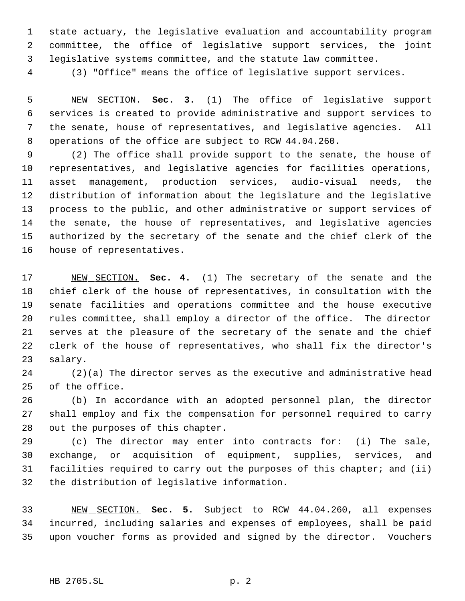state actuary, the legislative evaluation and accountability program committee, the office of legislative support services, the joint legislative systems committee, and the statute law committee.

(3) "Office" means the office of legislative support services.

 NEW SECTION. **Sec. 3.** (1) The office of legislative support services is created to provide administrative and support services to the senate, house of representatives, and legislative agencies. All operations of the office are subject to RCW 44.04.260.

 (2) The office shall provide support to the senate, the house of representatives, and legislative agencies for facilities operations, asset management, production services, audio-visual needs, the distribution of information about the legislature and the legislative process to the public, and other administrative or support services of the senate, the house of representatives, and legislative agencies authorized by the secretary of the senate and the chief clerk of the house of representatives.

 NEW SECTION. **Sec. 4.** (1) The secretary of the senate and the chief clerk of the house of representatives, in consultation with the senate facilities and operations committee and the house executive rules committee, shall employ a director of the office. The director serves at the pleasure of the secretary of the senate and the chief clerk of the house of representatives, who shall fix the director's salary.

 (2)(a) The director serves as the executive and administrative head of the office.

 (b) In accordance with an adopted personnel plan, the director shall employ and fix the compensation for personnel required to carry out the purposes of this chapter.

 (c) The director may enter into contracts for: (i) The sale, exchange, or acquisition of equipment, supplies, services, and facilities required to carry out the purposes of this chapter; and (ii) the distribution of legislative information.

 NEW SECTION. **Sec. 5.** Subject to RCW 44.04.260, all expenses incurred, including salaries and expenses of employees, shall be paid upon voucher forms as provided and signed by the director. Vouchers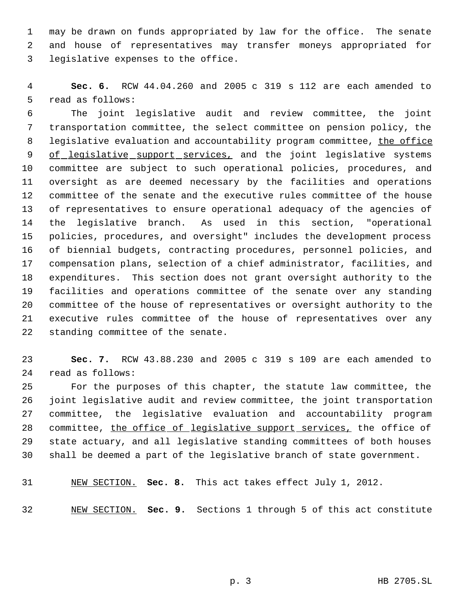may be drawn on funds appropriated by law for the office. The senate and house of representatives may transfer moneys appropriated for legislative expenses to the office.

 **Sec. 6.** RCW 44.04.260 and 2005 c 319 s 112 are each amended to read as follows:

 The joint legislative audit and review committee, the joint transportation committee, the select committee on pension policy, the 8 legislative evaluation and accountability program committee, the office 9 of legislative support services, and the joint legislative systems committee are subject to such operational policies, procedures, and oversight as are deemed necessary by the facilities and operations committee of the senate and the executive rules committee of the house of representatives to ensure operational adequacy of the agencies of the legislative branch. As used in this section, "operational policies, procedures, and oversight" includes the development process of biennial budgets, contracting procedures, personnel policies, and compensation plans, selection of a chief administrator, facilities, and expenditures. This section does not grant oversight authority to the facilities and operations committee of the senate over any standing committee of the house of representatives or oversight authority to the executive rules committee of the house of representatives over any standing committee of the senate.

 **Sec. 7.** RCW 43.88.230 and 2005 c 319 s 109 are each amended to read as follows:

 For the purposes of this chapter, the statute law committee, the joint legislative audit and review committee, the joint transportation committee, the legislative evaluation and accountability program 28 committee, the office of legislative support services, the office of state actuary, and all legislative standing committees of both houses shall be deemed a part of the legislative branch of state government.

NEW SECTION. **Sec. 8.** This act takes effect July 1, 2012.

NEW SECTION. **Sec. 9.** Sections 1 through 5 of this act constitute

p. 3 HB 2705.SL